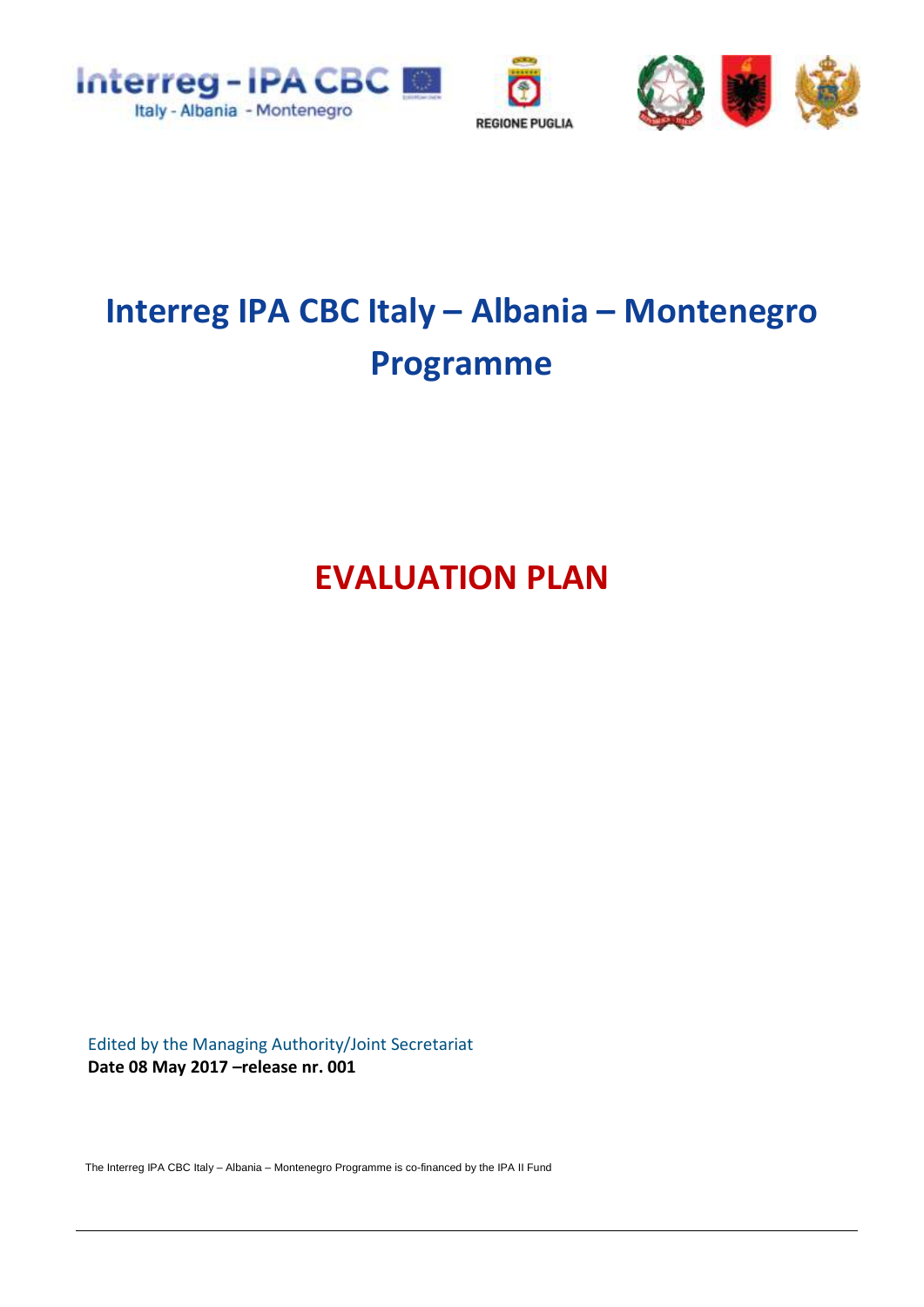



# **Interreg IPA CBC Italy – Albania – Montenegro Programme**

**EVALUATION PLAN**

Edited by the Managing Authority/Joint Secretariat **Date 08 May 2017 –release nr. 001**

The Interreg IPA CBC Italy – Albania – Montenegro Programme is co-financed by the IPA II Fund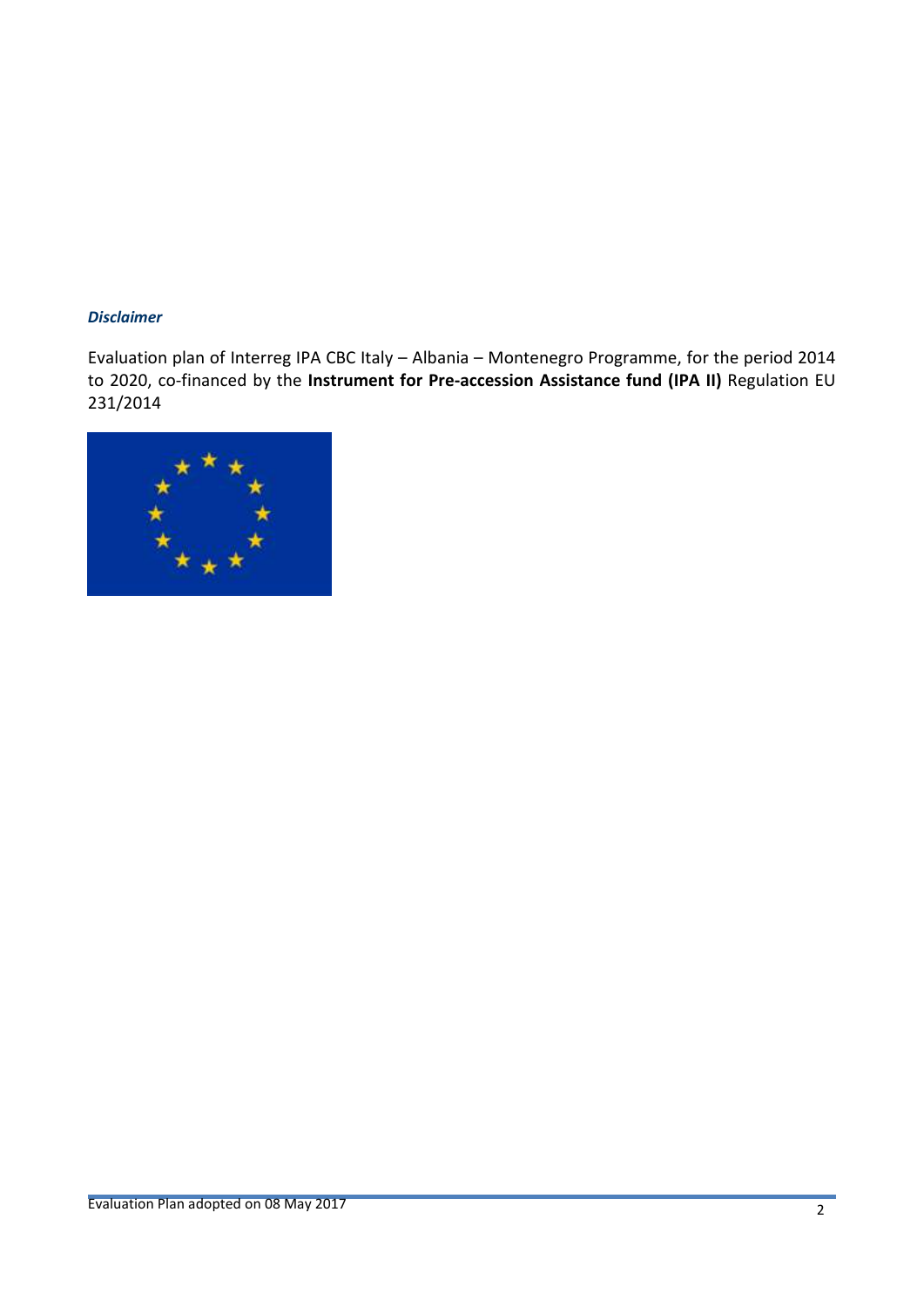#### *Disclaimer*

Evaluation plan of Interreg IPA CBC Italy – Albania – Montenegro Programme, for the period 2014 to 2020, co-financed by the **Instrument for Pre-accession Assistance fund (IPA II)** Regulation EU 231/2014

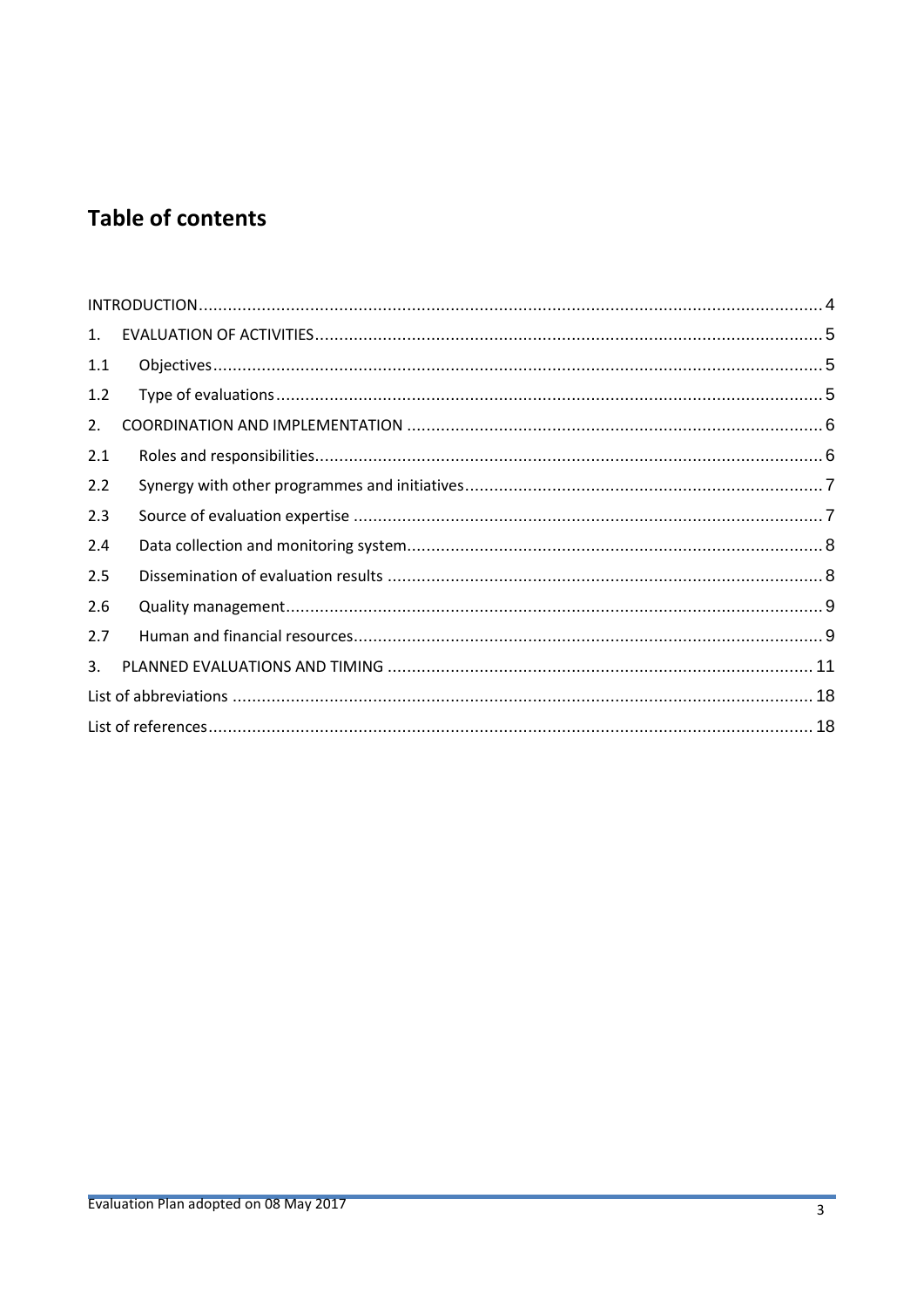# **Table of contents**

| 1.  |  |  |  |  |
|-----|--|--|--|--|
| 1.1 |  |  |  |  |
| 1.2 |  |  |  |  |
| 2.  |  |  |  |  |
| 2.1 |  |  |  |  |
| 2.2 |  |  |  |  |
| 2.3 |  |  |  |  |
| 2.4 |  |  |  |  |
| 2.5 |  |  |  |  |
| 2.6 |  |  |  |  |
| 2.7 |  |  |  |  |
| 3.  |  |  |  |  |
|     |  |  |  |  |
|     |  |  |  |  |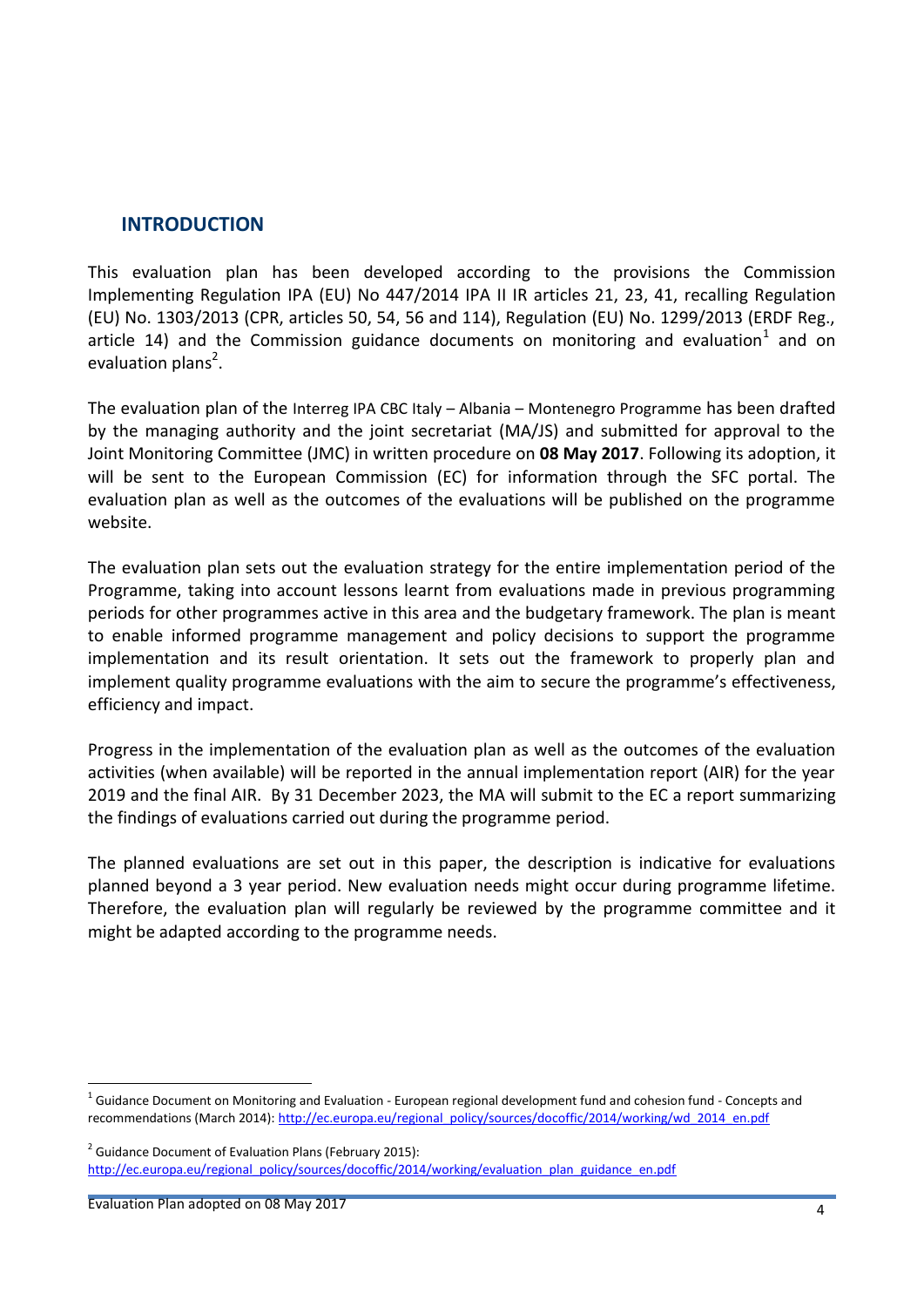## <span id="page-3-0"></span>**INTRODUCTION**

This evaluation plan has been developed according to the provisions the Commission Implementing Regulation IPA (EU) No 447/2014 IPA II IR articles 21, 23, 41, recalling Regulation (EU) No. 1303/2013 (CPR, articles 50, 54, 56 and 114), Regulation (EU) No. 1299/2013 (ERDF Reg., article 14) and the Commission guidance documents on monitoring and evaluation<sup>1</sup> and on evaluation plans<sup>2</sup>.

The evaluation plan of the Interreg IPA CBC Italy – Albania – Montenegro Programme has been drafted by the managing authority and the joint secretariat (MA/JS) and submitted for approval to the Joint Monitoring Committee (JMC) in written procedure on **08 May 2017**. Following its adoption, it will be sent to the European Commission (EC) for information through the SFC portal. The evaluation plan as well as the outcomes of the evaluations will be published on the programme website.

The evaluation plan sets out the evaluation strategy for the entire implementation period of the Programme, taking into account lessons learnt from evaluations made in previous programming periods for other programmes active in this area and the budgetary framework. The plan is meant to enable informed programme management and policy decisions to support the programme implementation and its result orientation. It sets out the framework to properly plan and implement quality programme evaluations with the aim to secure the programme's effectiveness, efficiency and impact.

Progress in the implementation of the evaluation plan as well as the outcomes of the evaluation activities (when available) will be reported in the annual implementation report (AIR) for the year 2019 and the final AIR. By 31 December 2023, the MA will submit to the EC a report summarizing the findings of evaluations carried out during the programme period.

The planned evaluations are set out in this paper, the description is indicative for evaluations planned beyond a 3 year period. New evaluation needs might occur during programme lifetime. Therefore, the evaluation plan will regularly be reviewed by the programme committee and it might be adapted according to the programme needs.

1

<sup>&</sup>lt;sup>1</sup> Guidance Document on Monitoring and Evaluation - European regional development fund and cohesion fund - Concepts and recommendations (March 2014)[: http://ec.europa.eu/regional\\_policy/sources/docoffic/2014/working/wd\\_2014\\_en.pdf](http://ec.europa.eu/regional_policy/sources/docoffic/2014/working/wd_2014_en.pdf)

<sup>&</sup>lt;sup>2</sup> Guidance Document of Evaluation Plans (February 2015): [http://ec.europa.eu/regional\\_policy/sources/docoffic/2014/working/evaluation\\_plan\\_guidance\\_en.pdf](http://ec.europa.eu/regional_policy/sources/docoffic/2014/working/evaluation_plan_guidance_en.pdf)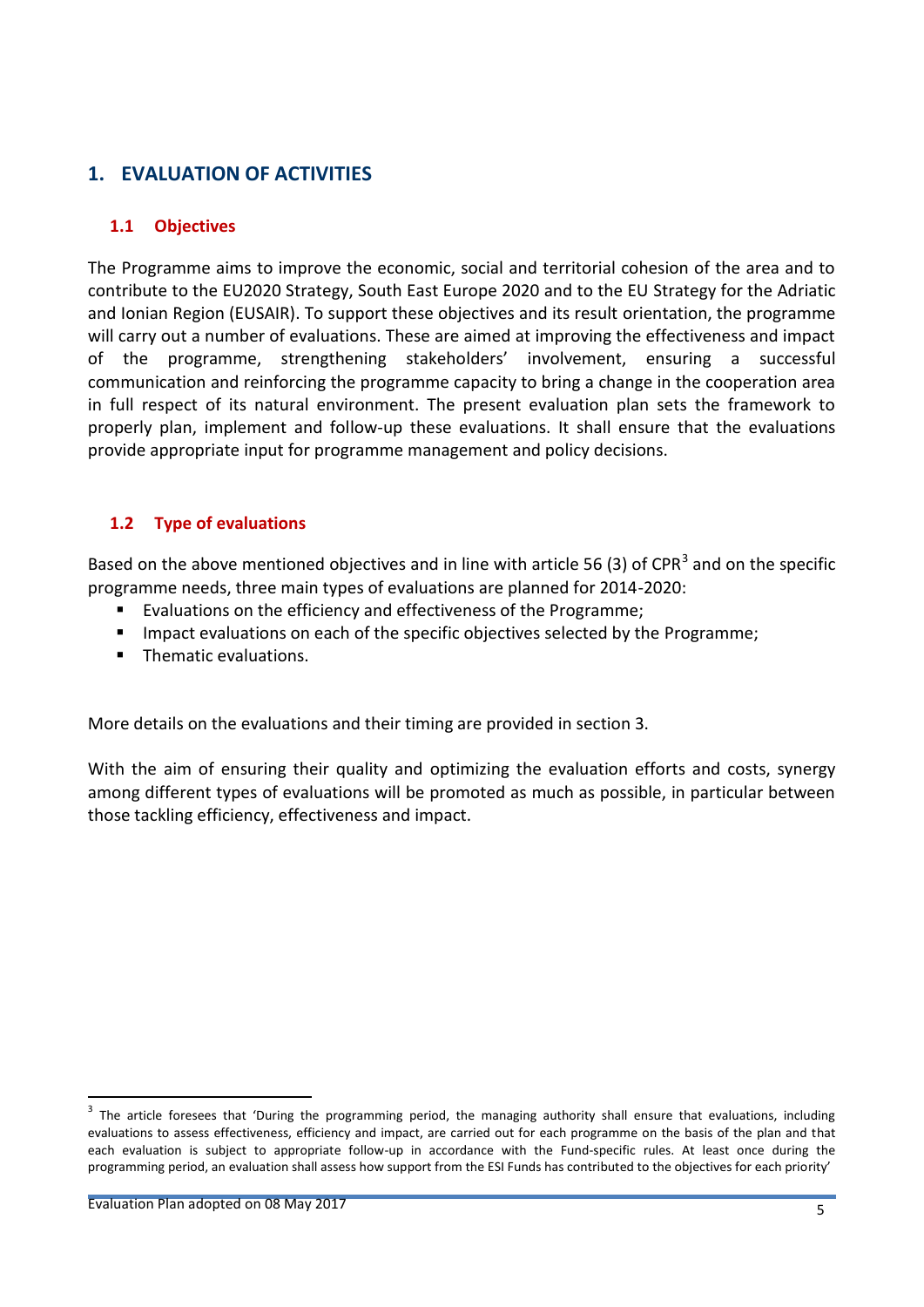# <span id="page-4-0"></span>**1. EVALUATION OF ACTIVITIES**

#### <span id="page-4-1"></span>**1.1 Objectives**

The Programme aims to improve the economic, social and territorial cohesion of the area and to contribute to the EU2020 Strategy, South East Europe 2020 and to the EU Strategy for the Adriatic and Ionian Region (EUSAIR). To support these objectives and its result orientation, the programme will carry out a number of evaluations. These are aimed at improving the effectiveness and impact of the programme, strengthening stakeholders' involvement, ensuring a successful communication and reinforcing the programme capacity to bring a change in the cooperation area in full respect of its natural environment. The present evaluation plan sets the framework to properly plan, implement and follow-up these evaluations. It shall ensure that the evaluations provide appropriate input for programme management and policy decisions.

#### <span id="page-4-2"></span>**1.2 Type of evaluations**

Based on the above mentioned objectives and in line with article 56 (3) of CPR<sup>3</sup> and on the specific programme needs, three main types of evaluations are planned for 2014-2020:

- Evaluations on the efficiency and effectiveness of the Programme;
- **IMPACT** Impact evaluations on each of the specific objectives selected by the Programme;
- **Thematic evaluations.**

More details on the evaluations and their timing are provided in section 3.

With the aim of ensuring their quality and optimizing the evaluation efforts and costs, synergy among different types of evaluations will be promoted as much as possible, in particular between those tackling efficiency, effectiveness and impact.

**.** 

<sup>&</sup>lt;sup>3</sup> The article foresees that 'During the programming period, the managing authority shall ensure that evaluations, including evaluations to assess effectiveness, efficiency and impact, are carried out for each programme on the basis of the plan and that each evaluation is subject to appropriate follow-up in accordance with the Fund-specific rules. At least once during the programming period, an evaluation shall assess how support from the ESI Funds has contributed to the objectives for each priority'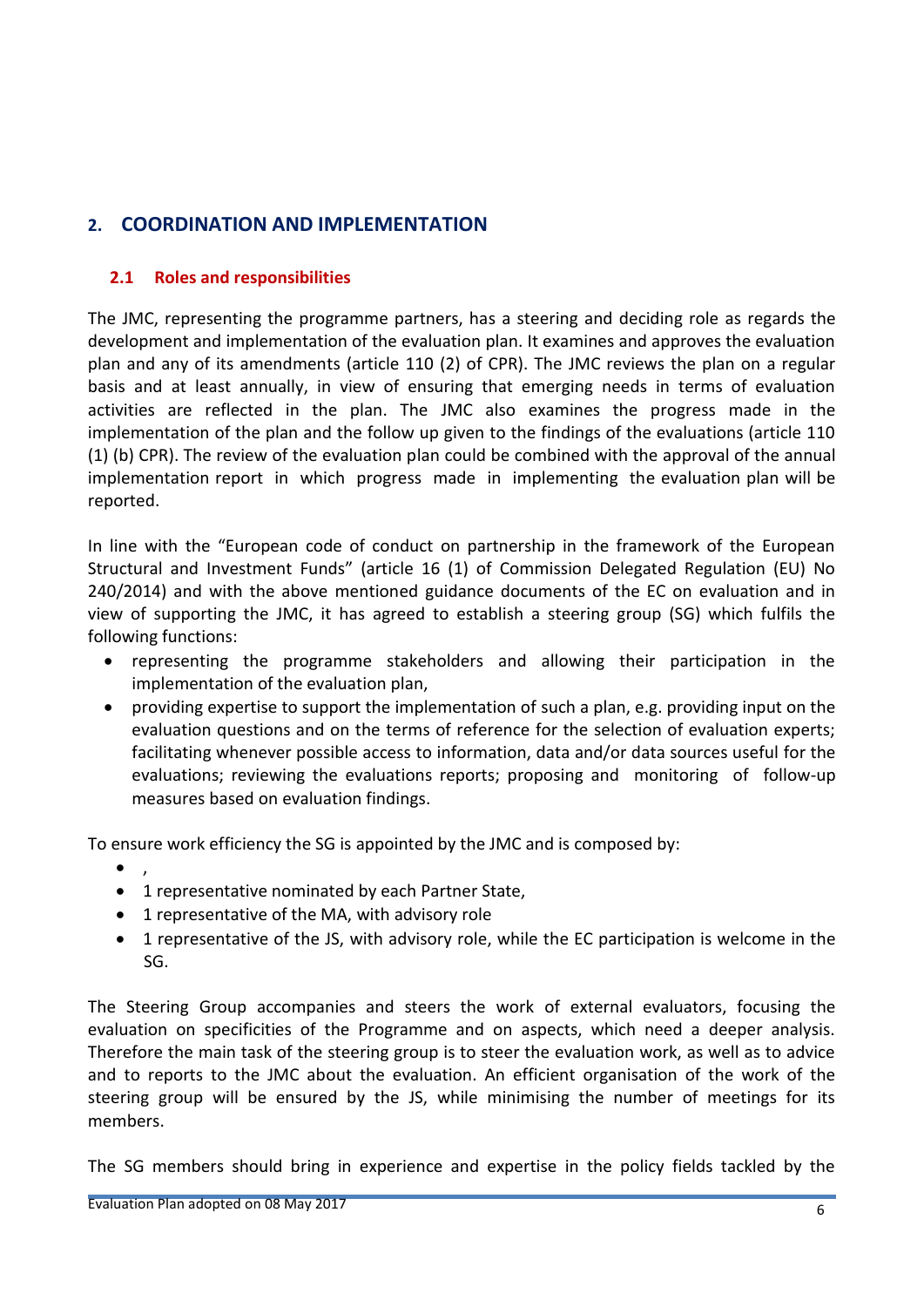# <span id="page-5-0"></span>**2. COORDINATION AND IMPLEMENTATION**

#### <span id="page-5-1"></span>**2.1 Roles and responsibilities**

The JMC, representing the programme partners, has a steering and deciding role as regards the development and implementation of the evaluation plan. It examines and approves the evaluation plan and any of its amendments (article 110 (2) of CPR). The JMC reviews the plan on a regular basis and at least annually, in view of ensuring that emerging needs in terms of evaluation activities are reflected in the plan. The JMC also examines the progress made in the implementation of the plan and the follow up given to the findings of the evaluations (article 110 (1) (b) CPR). The review of the evaluation plan could be combined with the approval of the annual implementation report in which progress made in implementing the evaluation plan will be reported.

In line with the "European code of conduct on partnership in the framework of the European Structural and Investment Funds" (article 16 (1) of Commission Delegated Regulation (EU) No 240/2014) and with the above mentioned guidance documents of the EC on evaluation and in view of supporting the JMC, it has agreed to establish a steering group (SG) which fulfils the following functions:

- representing the programme stakeholders and allowing their participation in the implementation of the evaluation plan,
- providing expertise to support the implementation of such a plan, e.g. providing input on the evaluation questions and on the terms of reference for the selection of evaluation experts; facilitating whenever possible access to information, data and/or data sources useful for the evaluations; reviewing the evaluations reports; proposing and monitoring of follow-up measures based on evaluation findings.

To ensure work efficiency the SG is appointed by the JMC and is composed by:

- $\bullet$ ,
- 1 representative nominated by each Partner State,
- 1 representative of the MA, with advisory role
- 1 representative of the JS, with advisory role, while the EC participation is welcome in the SG.

The Steering Group accompanies and steers the work of external evaluators, focusing the evaluation on specificities of the Programme and on aspects, which need a deeper analysis. Therefore the main task of the steering group is to steer the evaluation work, as well as to advice and to reports to the JMC about the evaluation. An efficient organisation of the work of the steering group will be ensured by the JS, while minimising the number of meetings for its members.

The SG members should bring in experience and expertise in the policy fields tackled by the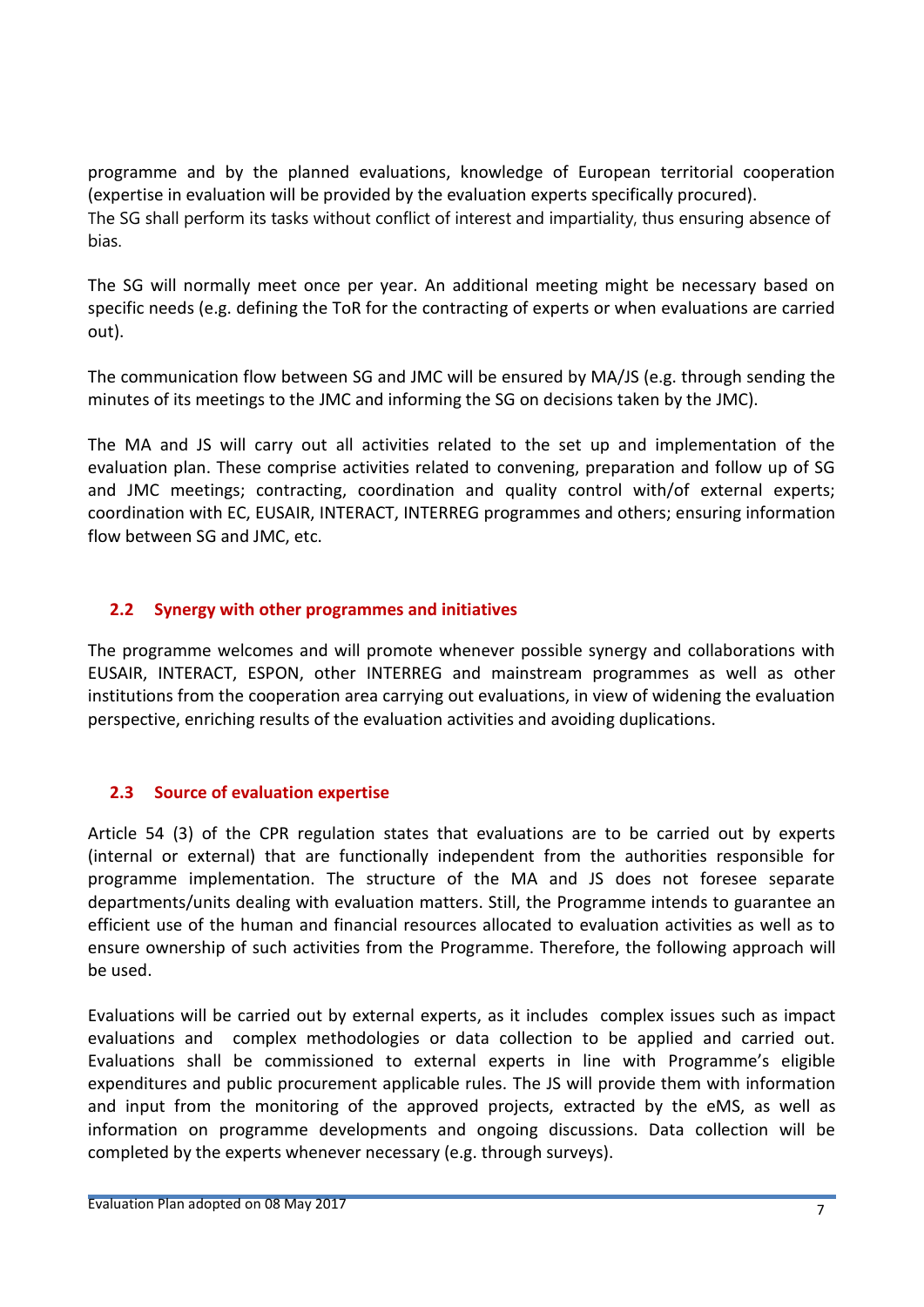programme and by the planned evaluations, knowledge of European territorial cooperation (expertise in evaluation will be provided by the evaluation experts specifically procured). The SG shall perform its tasks without conflict of interest and impartiality, thus ensuring absence of bias.

The SG will normally meet once per year. An additional meeting might be necessary based on specific needs (e.g. defining the ToR for the contracting of experts or when evaluations are carried out).

The communication flow between SG and JMC will be ensured by MA/JS (e.g. through sending the minutes of its meetings to the JMC and informing the SG on decisions taken by the JMC).

The MA and JS will carry out all activities related to the set up and implementation of the evaluation plan. These comprise activities related to convening, preparation and follow up of SG and JMC meetings; contracting, coordination and quality control with/of external experts; coordination with EC, EUSAIR, INTERACT, INTERREG programmes and others; ensuring information flow between SG and JMC, etc.

#### <span id="page-6-0"></span>**2.2 Synergy with other programmes and initiatives**

The programme welcomes and will promote whenever possible synergy and collaborations with EUSAIR, INTERACT, ESPON, other INTERREG and mainstream programmes as well as other institutions from the cooperation area carrying out evaluations, in view of widening the evaluation perspective, enriching results of the evaluation activities and avoiding duplications.

#### <span id="page-6-1"></span>**2.3 Source of evaluation expertise**

Article 54 (3) of the CPR regulation states that evaluations are to be carried out by experts (internal or external) that are functionally independent from the authorities responsible for programme implementation. The structure of the MA and JS does not foresee separate departments/units dealing with evaluation matters. Still, the Programme intends to guarantee an efficient use of the human and financial resources allocated to evaluation activities as well as to ensure ownership of such activities from the Programme. Therefore, the following approach will be used.

Evaluations will be carried out by external experts, as it includes complex issues such as impact evaluations and complex methodologies or data collection to be applied and carried out. Evaluations shall be commissioned to external experts in line with Programme's eligible expenditures and public procurement applicable rules. The JS will provide them with information and input from the monitoring of the approved projects, extracted by the eMS, as well as information on programme developments and ongoing discussions. Data collection will be completed by the experts whenever necessary (e.g. through surveys).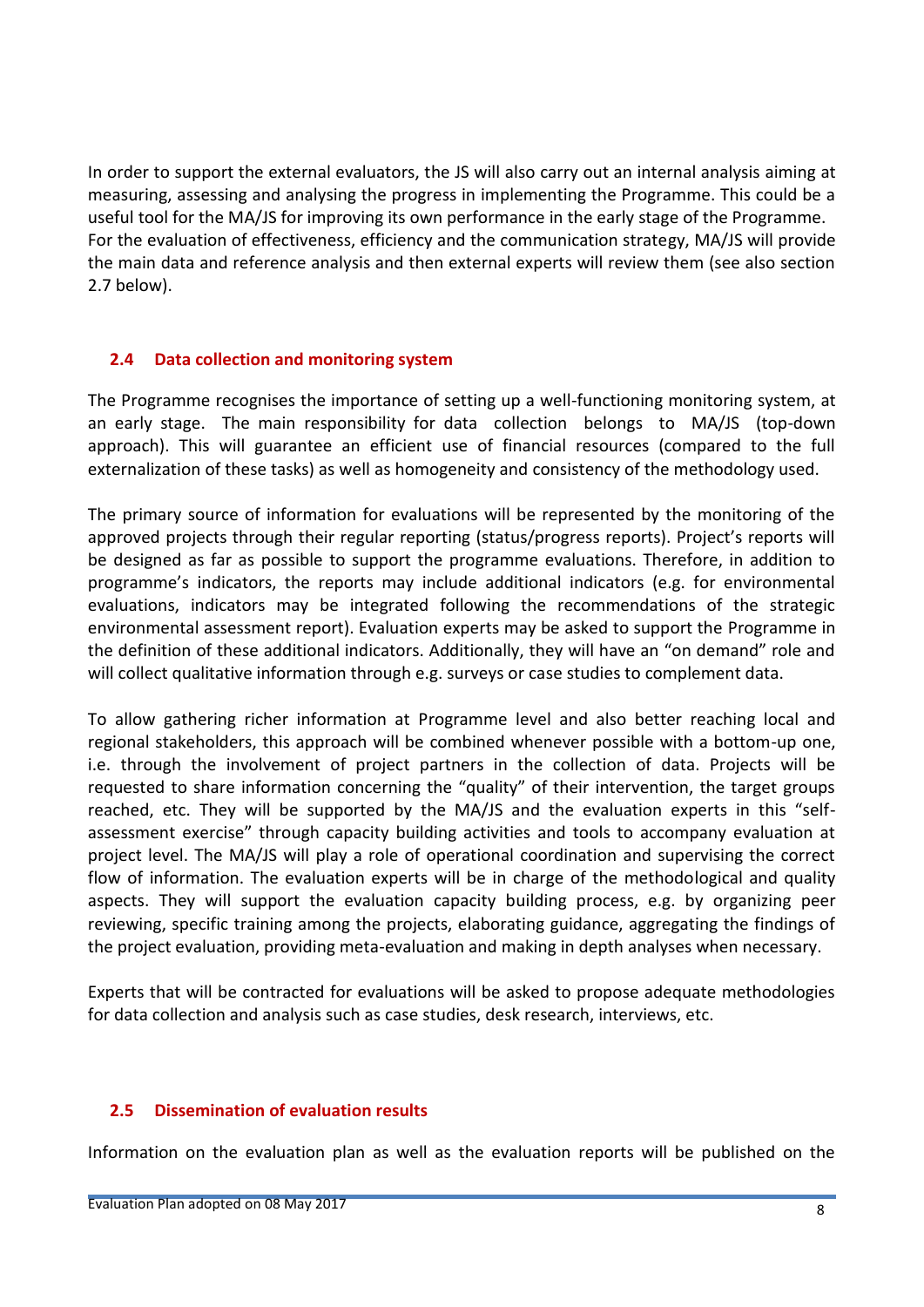In order to support the external evaluators, the JS will also carry out an internal analysis aiming at measuring, assessing and analysing the progress in implementing the Programme. This could be a useful tool for the MA/JS for improving its own performance in the early stage of the Programme. For the evaluation of effectiveness, efficiency and the communication strategy, MA/JS will provide the main data and reference analysis and then external experts will review them (see also section 2.7 below).

#### <span id="page-7-0"></span>**2.4 Data collection and monitoring system**

The Programme recognises the importance of setting up a well-functioning monitoring system, at an early stage. The main responsibility for data collection belongs to MA/JS (top-down approach). This will guarantee an efficient use of financial resources (compared to the full externalization of these tasks) as well as homogeneity and consistency of the methodology used.

The primary source of information for evaluations will be represented by the monitoring of the approved projects through their regular reporting (status/progress reports). Project's reports will be designed as far as possible to support the programme evaluations. Therefore, in addition to programme's indicators, the reports may include additional indicators (e.g. for environmental evaluations, indicators may be integrated following the recommendations of the strategic environmental assessment report). Evaluation experts may be asked to support the Programme in the definition of these additional indicators. Additionally, they will have an "on demand" role and will collect qualitative information through e.g. surveys or case studies to complement data.

To allow gathering richer information at Programme level and also better reaching local and regional stakeholders, this approach will be combined whenever possible with a bottom-up one, i.e. through the involvement of project partners in the collection of data. Projects will be requested to share information concerning the "quality" of their intervention, the target groups reached, etc. They will be supported by the MA/JS and the evaluation experts in this "selfassessment exercise" through capacity building activities and tools to accompany evaluation at project level. The MA/JS will play a role of operational coordination and supervising the correct flow of information. The evaluation experts will be in charge of the methodological and quality aspects. They will support the evaluation capacity building process, e.g. by organizing peer reviewing, specific training among the projects, elaborating guidance, aggregating the findings of the project evaluation, providing meta-evaluation and making in depth analyses when necessary.

Experts that will be contracted for evaluations will be asked to propose adequate methodologies for data collection and analysis such as case studies, desk research, interviews, etc.

#### <span id="page-7-1"></span>**2.5 Dissemination of evaluation results**

Information on the evaluation plan as well as the evaluation reports will be published on the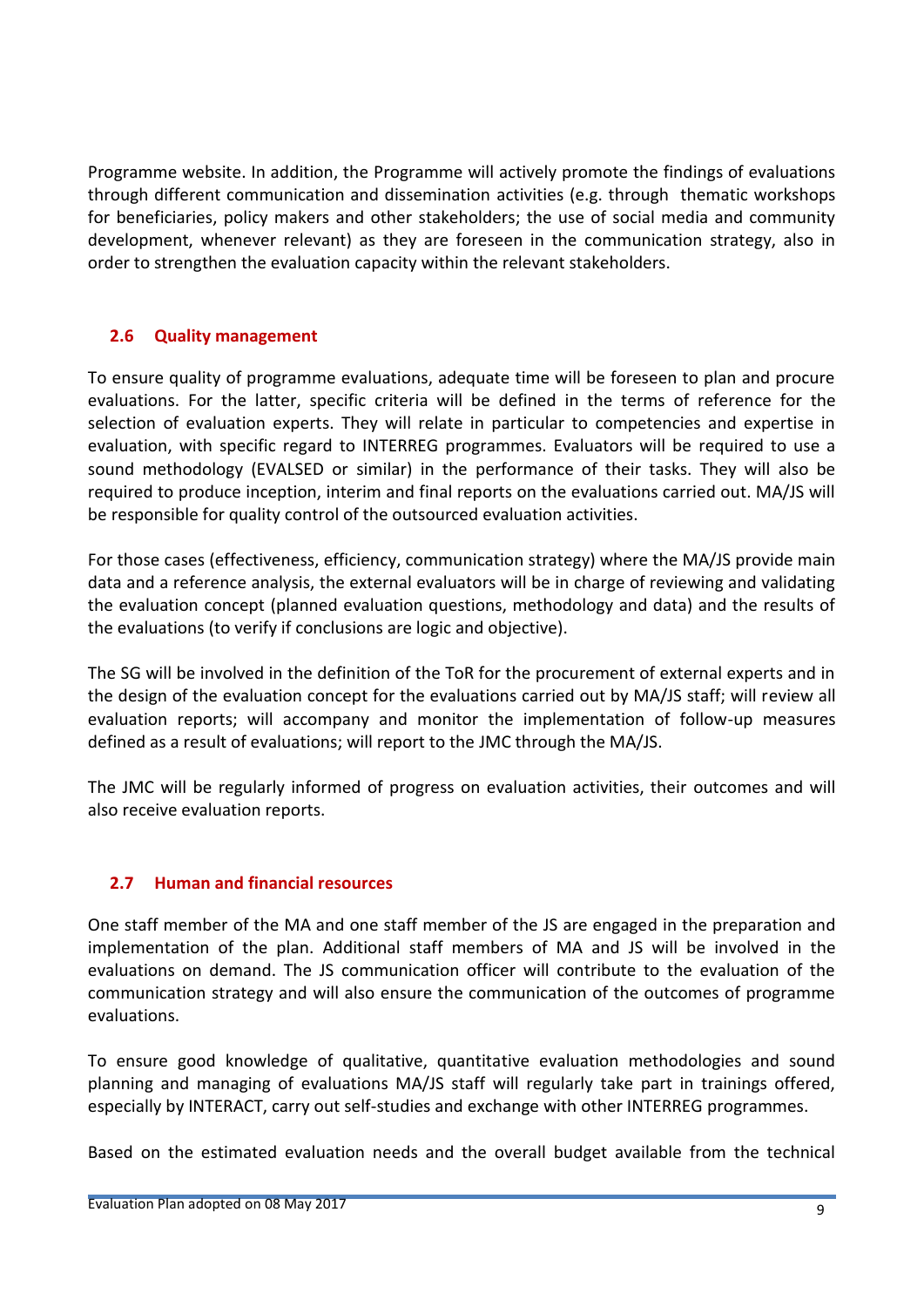Programme website. In addition, the Programme will actively promote the findings of evaluations through different communication and dissemination activities (e.g. through thematic workshops for beneficiaries, policy makers and other stakeholders; the use of social media and community development, whenever relevant) as they are foreseen in the communication strategy, also in order to strengthen the evaluation capacity within the relevant stakeholders.

## <span id="page-8-0"></span>**2.6 Quality management**

To ensure quality of programme evaluations, adequate time will be foreseen to plan and procure evaluations. For the latter, specific criteria will be defined in the terms of reference for the selection of evaluation experts. They will relate in particular to competencies and expertise in evaluation, with specific regard to INTERREG programmes. Evaluators will be required to use a sound methodology (EVALSED or similar) in the performance of their tasks. They will also be required to produce inception, interim and final reports on the evaluations carried out. MA/JS will be responsible for quality control of the outsourced evaluation activities.

For those cases (effectiveness, efficiency, communication strategy) where the MA/JS provide main data and a reference analysis, the external evaluators will be in charge of reviewing and validating the evaluation concept (planned evaluation questions, methodology and data) and the results of the evaluations (to verify if conclusions are logic and objective).

The SG will be involved in the definition of the ToR for the procurement of external experts and in the design of the evaluation concept for the evaluations carried out by MA/JS staff; will review all evaluation reports; will accompany and monitor the implementation of follow-up measures defined as a result of evaluations; will report to the JMC through the MA/JS.

The JMC will be regularly informed of progress on evaluation activities, their outcomes and will also receive evaluation reports.

#### <span id="page-8-1"></span>**2.7 Human and financial resources**

One staff member of the MA and one staff member of the JS are engaged in the preparation and implementation of the plan. Additional staff members of MA and JS will be involved in the evaluations on demand. The JS communication officer will contribute to the evaluation of the communication strategy and will also ensure the communication of the outcomes of programme evaluations.

To ensure good knowledge of qualitative, quantitative evaluation methodologies and sound planning and managing of evaluations MA/JS staff will regularly take part in trainings offered, especially by INTERACT, carry out self-studies and exchange with other INTERREG programmes.

Based on the estimated evaluation needs and the overall budget available from the technical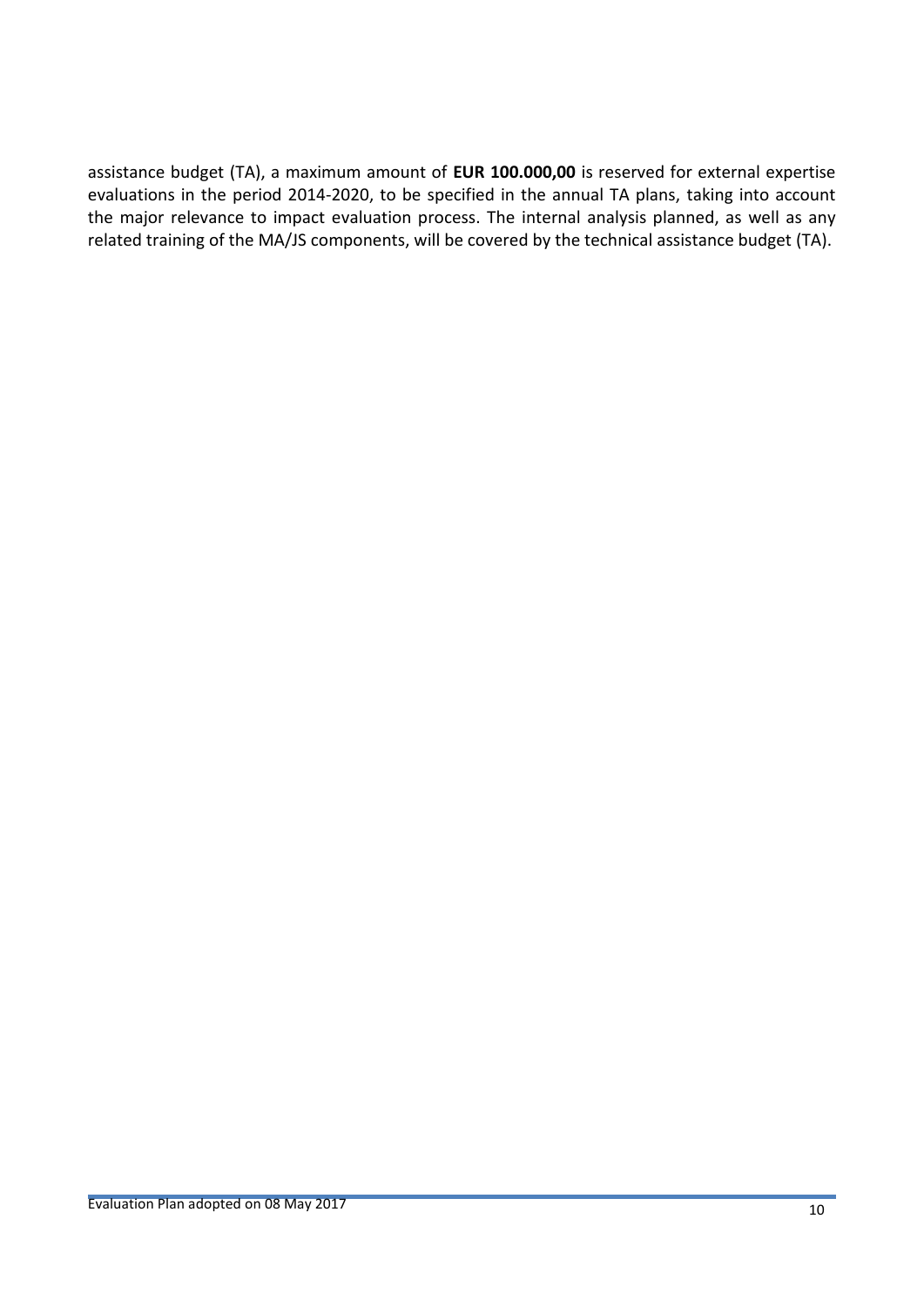assistance budget (TA), a maximum amount of **EUR 100.000,00** is reserved for external expertise evaluations in the period 2014-2020, to be specified in the annual TA plans, taking into account the major relevance to impact evaluation process. The internal analysis planned, as well as any related training of the MA/JS components, will be covered by the technical assistance budget (TA).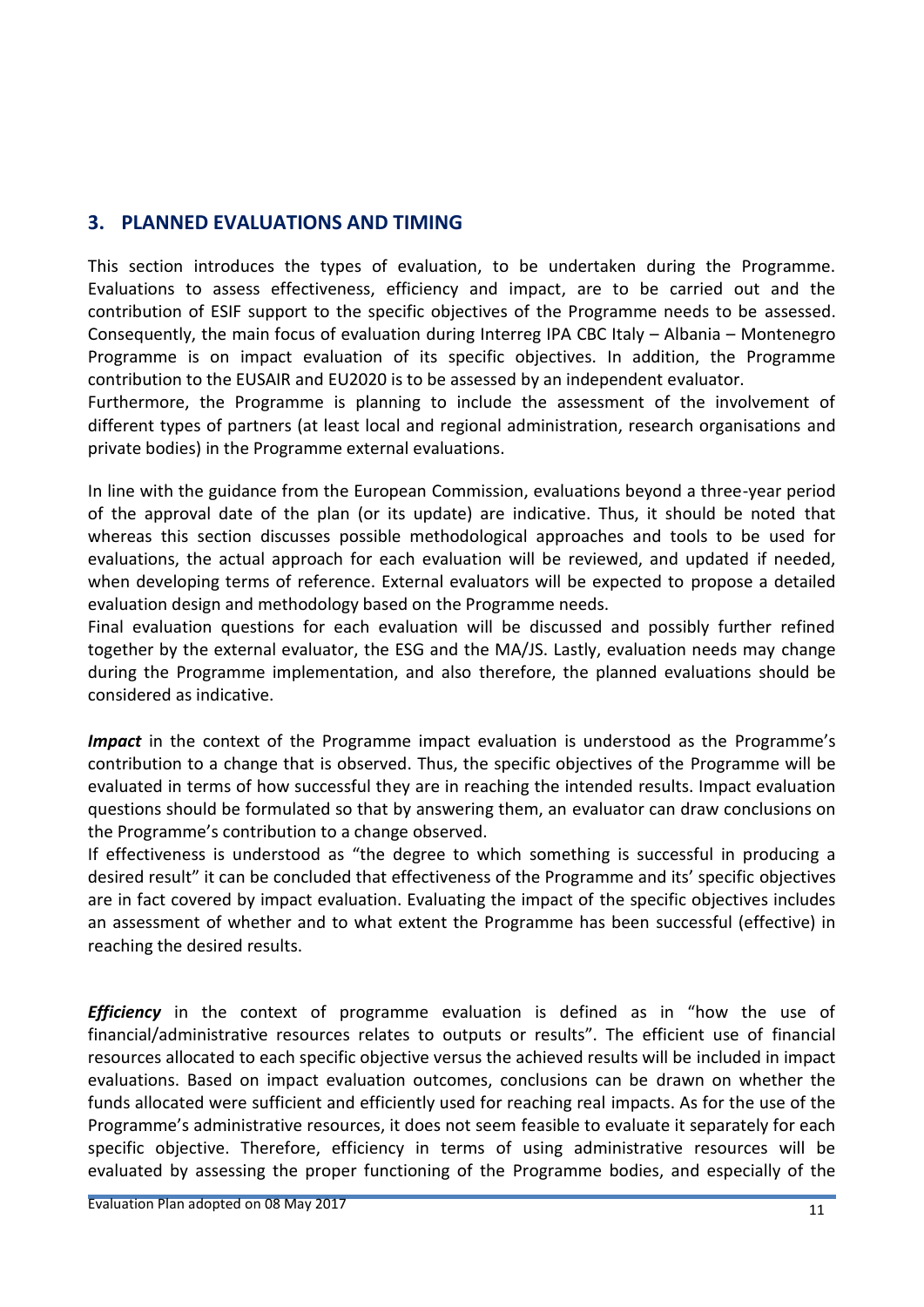# <span id="page-10-0"></span>**3. PLANNED EVALUATIONS AND TIMING**

This section introduces the types of evaluation, to be undertaken during the Programme. Evaluations to assess effectiveness, efficiency and impact, are to be carried out and the contribution of ESIF support to the specific objectives of the Programme needs to be assessed. Consequently, the main focus of evaluation during Interreg IPA CBC Italy – Albania – Montenegro Programme is on impact evaluation of its specific objectives. In addition, the Programme contribution to the EUSAIR and EU2020 is to be assessed by an independent evaluator.

Furthermore, the Programme is planning to include the assessment of the involvement of different types of partners (at least local and regional administration, research organisations and private bodies) in the Programme external evaluations.

In line with the guidance from the European Commission, evaluations beyond a three-year period of the approval date of the plan (or its update) are indicative. Thus, it should be noted that whereas this section discusses possible methodological approaches and tools to be used for evaluations, the actual approach for each evaluation will be reviewed, and updated if needed, when developing terms of reference. External evaluators will be expected to propose a detailed evaluation design and methodology based on the Programme needs.

Final evaluation questions for each evaluation will be discussed and possibly further refined together by the external evaluator, the ESG and the MA/JS. Lastly, evaluation needs may change during the Programme implementation, and also therefore, the planned evaluations should be considered as indicative.

*Impact* in the context of the Programme impact evaluation is understood as the Programme's contribution to a change that is observed. Thus, the specific objectives of the Programme will be evaluated in terms of how successful they are in reaching the intended results. Impact evaluation questions should be formulated so that by answering them, an evaluator can draw conclusions on the Programme's contribution to a change observed.

If effectiveness is understood as "the degree to which something is successful in producing a desired result" it can be concluded that effectiveness of the Programme and its' specific objectives are in fact covered by impact evaluation. Evaluating the impact of the specific objectives includes an assessment of whether and to what extent the Programme has been successful (effective) in reaching the desired results.

*Efficiency* in the context of programme evaluation is defined as in "how the use of financial/administrative resources relates to outputs or results". The efficient use of financial resources allocated to each specific objective versus the achieved results will be included in impact evaluations. Based on impact evaluation outcomes, conclusions can be drawn on whether the funds allocated were sufficient and efficiently used for reaching real impacts. As for the use of the Programme's administrative resources, it does not seem feasible to evaluate it separately for each specific objective. Therefore, efficiency in terms of using administrative resources will be evaluated by assessing the proper functioning of the Programme bodies, and especially of the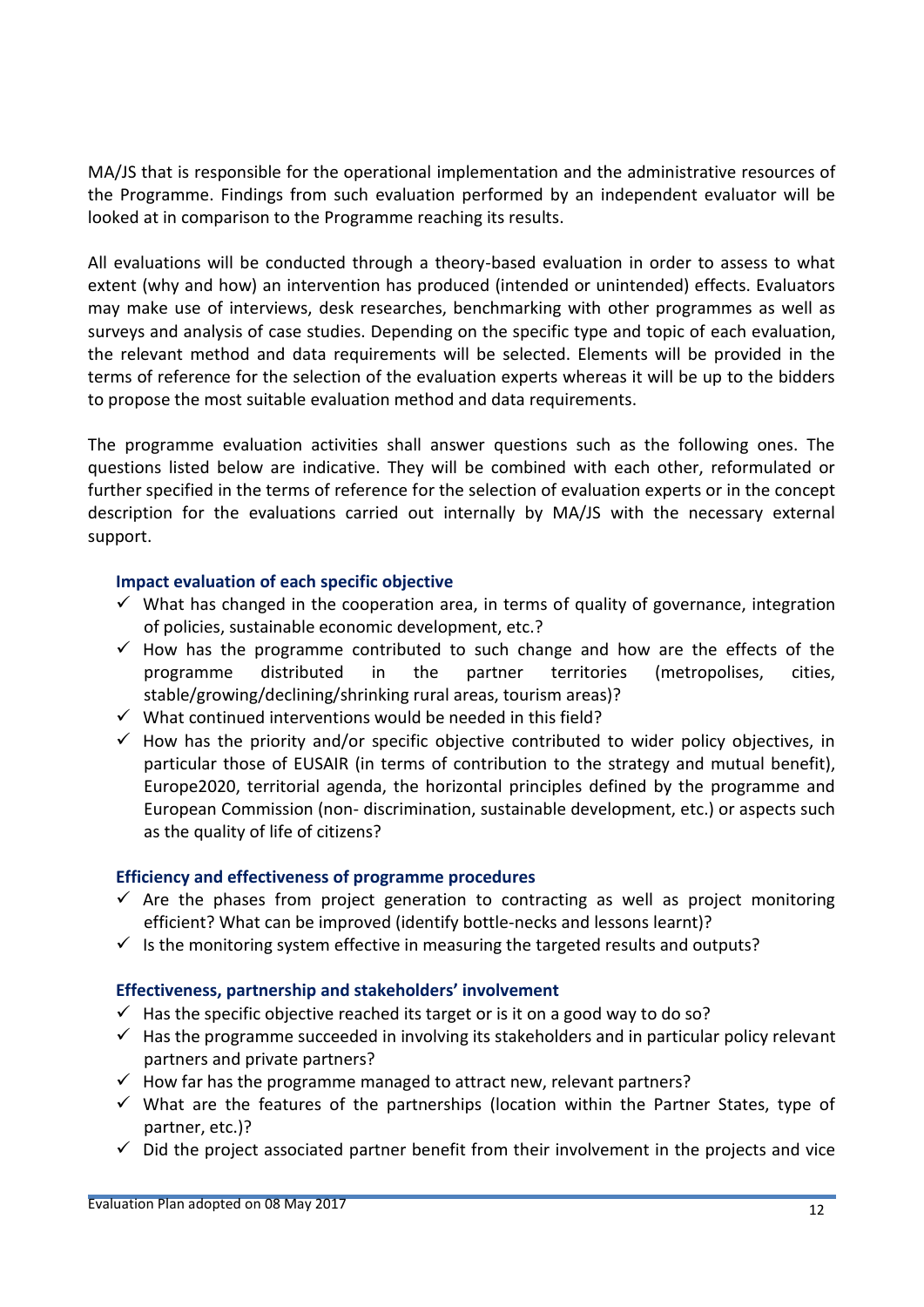MA/JS that is responsible for the operational implementation and the administrative resources of the Programme. Findings from such evaluation performed by an independent evaluator will be looked at in comparison to the Programme reaching its results.

All evaluations will be conducted through a theory-based evaluation in order to assess to what extent (why and how) an intervention has produced (intended or unintended) effects. Evaluators may make use of interviews, desk researches, benchmarking with other programmes as well as surveys and analysis of case studies. Depending on the specific type and topic of each evaluation, the relevant method and data requirements will be selected. Elements will be provided in the terms of reference for the selection of the evaluation experts whereas it will be up to the bidders to propose the most suitable evaluation method and data requirements.

The programme evaluation activities shall answer questions such as the following ones. The questions listed below are indicative. They will be combined with each other, reformulated or further specified in the terms of reference for the selection of evaluation experts or in the concept description for the evaluations carried out internally by MA/JS with the necessary external support.

#### **Impact evaluation of each specific objective**

- $\checkmark$  What has changed in the cooperation area, in terms of quality of governance, integration of policies, sustainable economic development, etc.?
- $\checkmark$  How has the programme contributed to such change and how are the effects of the programme distributed in the partner territories (metropolises, cities, stable/growing/declining/shrinking rural areas, tourism areas)?
- $\checkmark$  What continued interventions would be needed in this field?
- $\checkmark$  How has the priority and/or specific objective contributed to wider policy objectives, in particular those of EUSAIR (in terms of contribution to the strategy and mutual benefit), Europe2020, territorial agenda, the horizontal principles defined by the programme and European Commission (non- discrimination, sustainable development, etc.) or aspects such as the quality of life of citizens?

#### **Efficiency and effectiveness of programme procedures**

- $\checkmark$  Are the phases from project generation to contracting as well as project monitoring efficient? What can be improved (identify bottle-necks and lessons learnt)?
- $\checkmark$  is the monitoring system effective in measuring the targeted results and outputs?

#### **Effectiveness, partnership and stakeholders' involvement**

- $\checkmark$  Has the specific objective reached its target or is it on a good way to do so?
- $\checkmark$  Has the programme succeeded in involving its stakeholders and in particular policy relevant partners and private partners?
- $\checkmark$  How far has the programme managed to attract new, relevant partners?
- $\checkmark$  What are the features of the partnerships (location within the Partner States, type of partner, etc.)?
- $\checkmark$  Did the project associated partner benefit from their involvement in the projects and vice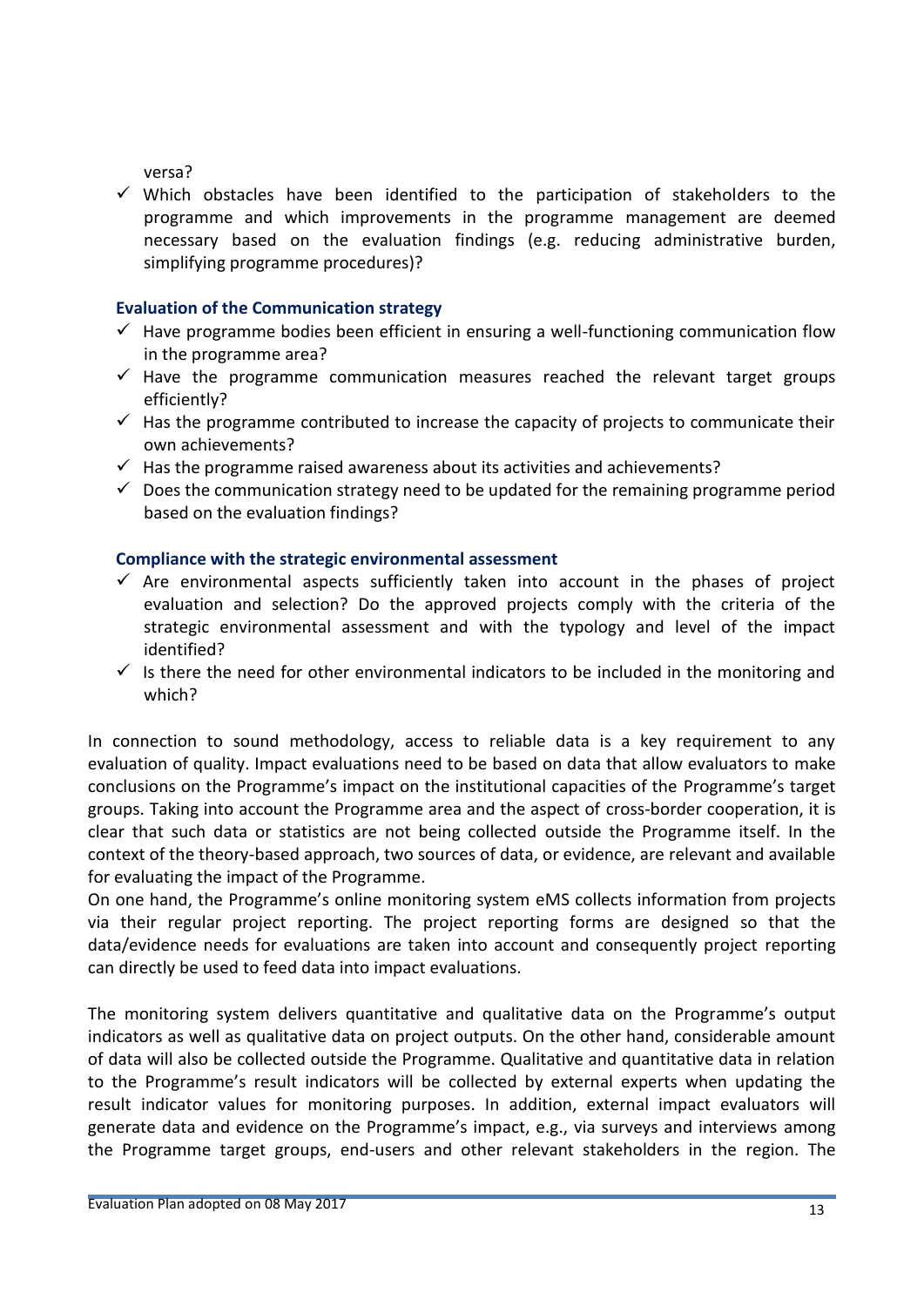versa?

 $\checkmark$  Which obstacles have been identified to the participation of stakeholders to the programme and which improvements in the programme management are deemed necessary based on the evaluation findings (e.g. reducing administrative burden, simplifying programme procedures)?

#### **Evaluation of the Communication strategy**

- $\checkmark$  Have programme bodies been efficient in ensuring a well-functioning communication flow in the programme area?
- $\checkmark$  Have the programme communication measures reached the relevant target groups efficiently?
- $\checkmark$  Has the programme contributed to increase the capacity of projects to communicate their own achievements?
- $\checkmark$  Has the programme raised awareness about its activities and achievements?
- $\checkmark$  Does the communication strategy need to be updated for the remaining programme period based on the evaluation findings?

#### **Compliance with the strategic environmental assessment**

- $\checkmark$  Are environmental aspects sufficiently taken into account in the phases of project evaluation and selection? Do the approved projects comply with the criteria of the strategic environmental assessment and with the typology and level of the impact identified?
- $\checkmark$  Is there the need for other environmental indicators to be included in the monitoring and which?

In connection to sound methodology, access to reliable data is a key requirement to any evaluation of quality. Impact evaluations need to be based on data that allow evaluators to make conclusions on the Programme's impact on the institutional capacities of the Programme's target groups. Taking into account the Programme area and the aspect of cross-border cooperation, it is clear that such data or statistics are not being collected outside the Programme itself. In the context of the theory-based approach, two sources of data, or evidence, are relevant and available for evaluating the impact of the Programme.

On one hand, the Programme's online monitoring system eMS collects information from projects via their regular project reporting. The project reporting forms are designed so that the data/evidence needs for evaluations are taken into account and consequently project reporting can directly be used to feed data into impact evaluations.

The monitoring system delivers quantitative and qualitative data on the Programme's output indicators as well as qualitative data on project outputs. On the other hand, considerable amount of data will also be collected outside the Programme. Qualitative and quantitative data in relation to the Programme's result indicators will be collected by external experts when updating the result indicator values for monitoring purposes. In addition, external impact evaluators will generate data and evidence on the Programme's impact, e.g., via surveys and interviews among the Programme target groups, end-users and other relevant stakeholders in the region. The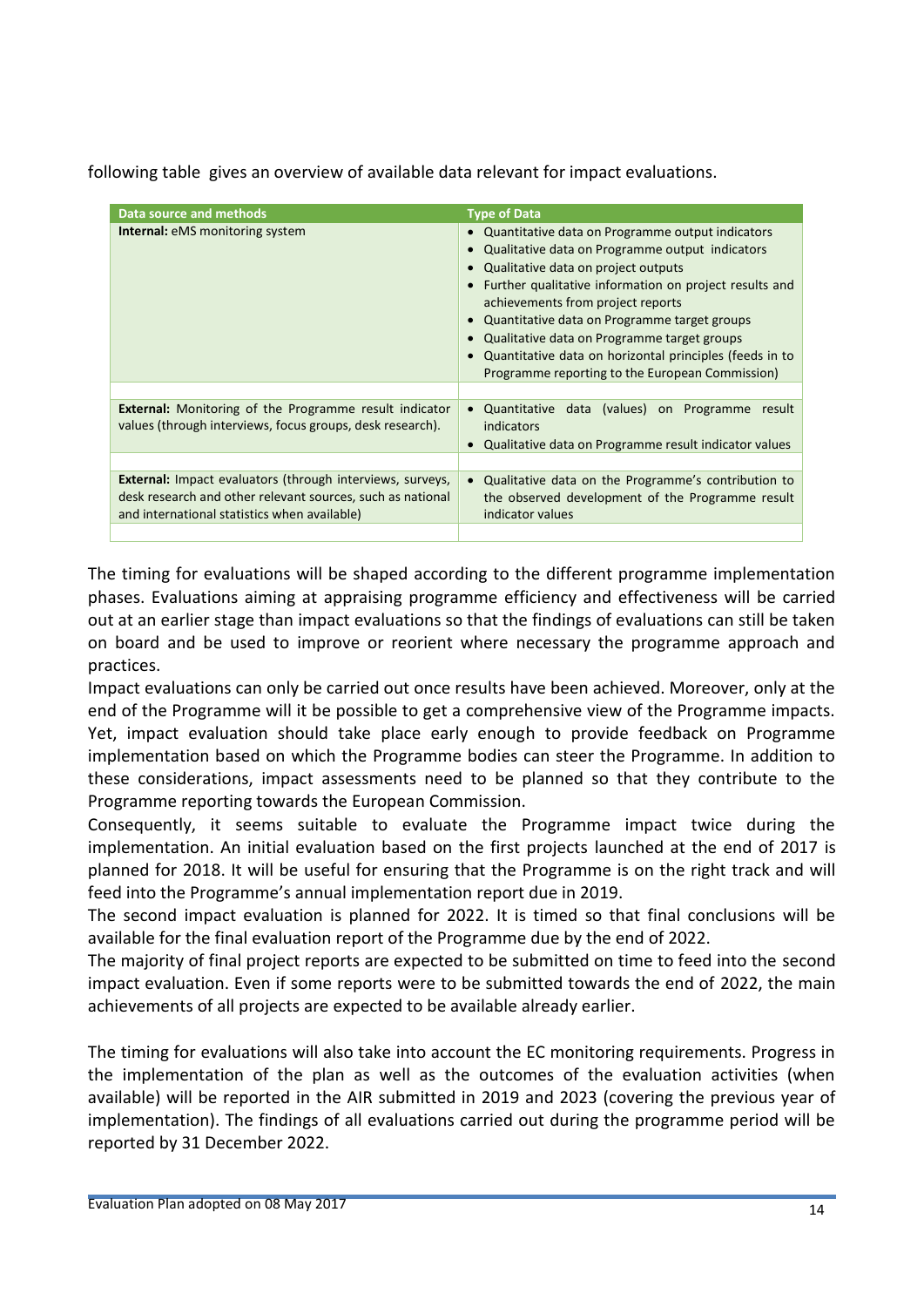following table gives an overview of available data relevant for impact evaluations.

| Data source and methods                                                                                                                                                        | <b>Type of Data</b>                                                                                                                                                                                                                                                                                                                                                                                                                                    |  |
|--------------------------------------------------------------------------------------------------------------------------------------------------------------------------------|--------------------------------------------------------------------------------------------------------------------------------------------------------------------------------------------------------------------------------------------------------------------------------------------------------------------------------------------------------------------------------------------------------------------------------------------------------|--|
| <b>Internal:</b> eMS monitoring system                                                                                                                                         | Quantitative data on Programme output indicators<br>Qualitative data on Programme output indicators<br>Qualitative data on project outputs<br>Further qualitative information on project results and<br>achievements from project reports<br>Quantitative data on Programme target groups<br>Qualitative data on Programme target groups<br>Quantitative data on horizontal principles (feeds in to<br>Programme reporting to the European Commission) |  |
| <b>External:</b> Monitoring of the Programme result indicator<br>values (through interviews, focus groups, desk research).                                                     | Quantitative data (values) on Programme<br>result<br>$\bullet$<br>indicators<br>Qualitative data on Programme result indicator values                                                                                                                                                                                                                                                                                                                  |  |
| <b>External:</b> Impact evaluators (through interviews, surveys,<br>desk research and other relevant sources, such as national<br>and international statistics when available) | Qualitative data on the Programme's contribution to<br>the observed development of the Programme result<br>indicator values                                                                                                                                                                                                                                                                                                                            |  |
|                                                                                                                                                                                |                                                                                                                                                                                                                                                                                                                                                                                                                                                        |  |

The timing for evaluations will be shaped according to the different programme implementation phases. Evaluations aiming at appraising programme efficiency and effectiveness will be carried out at an earlier stage than impact evaluations so that the findings of evaluations can still be taken on board and be used to improve or reorient where necessary the programme approach and practices.

Impact evaluations can only be carried out once results have been achieved. Moreover, only at the end of the Programme will it be possible to get a comprehensive view of the Programme impacts. Yet, impact evaluation should take place early enough to provide feedback on Programme implementation based on which the Programme bodies can steer the Programme. In addition to these considerations, impact assessments need to be planned so that they contribute to the Programme reporting towards the European Commission.

Consequently, it seems suitable to evaluate the Programme impact twice during the implementation. An initial evaluation based on the first projects launched at the end of 2017 is planned for 2018. It will be useful for ensuring that the Programme is on the right track and will feed into the Programme's annual implementation report due in 2019.

The second impact evaluation is planned for 2022. It is timed so that final conclusions will be available for the final evaluation report of the Programme due by the end of 2022.

The majority of final project reports are expected to be submitted on time to feed into the second impact evaluation. Even if some reports were to be submitted towards the end of 2022, the main achievements of all projects are expected to be available already earlier.

The timing for evaluations will also take into account the EC monitoring requirements. Progress in the implementation of the plan as well as the outcomes of the evaluation activities (when available) will be reported in the AIR submitted in 2019 and 2023 (covering the previous year of implementation). The findings of all evaluations carried out during the programme period will be reported by 31 December 2022.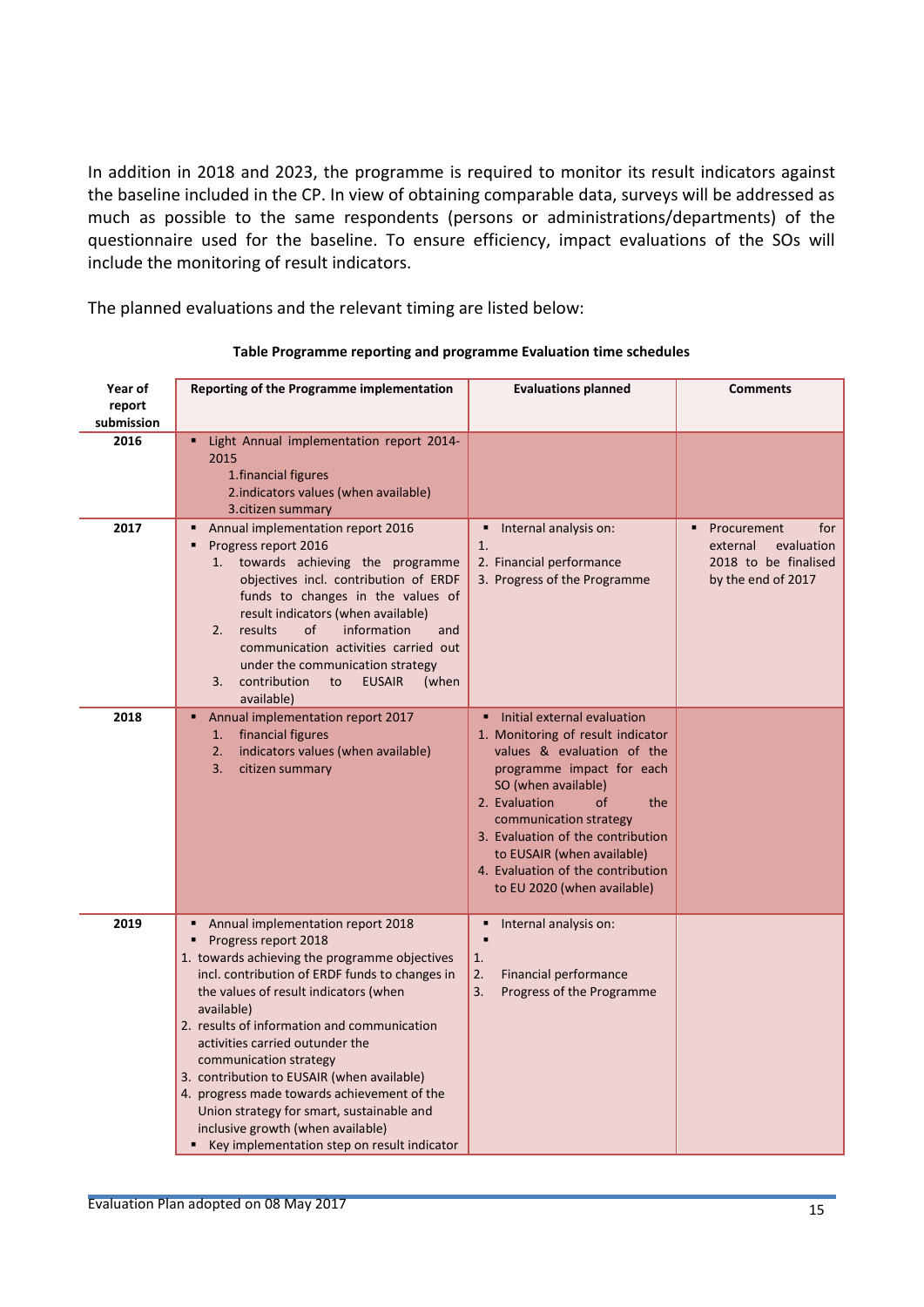In addition in 2018 and 2023, the programme is required to monitor its result indicators against the baseline included in the CP. In view of obtaining comparable data, surveys will be addressed as much as possible to the same respondents (persons or administrations/departments) of the questionnaire used for the baseline. To ensure efficiency, impact evaluations of the SOs will include the monitoring of result indicators.

The planned evaluations and the relevant timing are listed below:

| Year of<br>report<br>submission | Reporting of the Programme implementation                                                                                                                                                                                                                                                                                                                                                                                                                                                                                                                     | <b>Evaluations planned</b>                                                                                                                                                                                                                                                                                                                        | <b>Comments</b>                                                                            |
|---------------------------------|---------------------------------------------------------------------------------------------------------------------------------------------------------------------------------------------------------------------------------------------------------------------------------------------------------------------------------------------------------------------------------------------------------------------------------------------------------------------------------------------------------------------------------------------------------------|---------------------------------------------------------------------------------------------------------------------------------------------------------------------------------------------------------------------------------------------------------------------------------------------------------------------------------------------------|--------------------------------------------------------------------------------------------|
| 2016                            | Light Annual implementation report 2014-<br>2015<br>1. financial figures<br>2.indicators values (when available)<br>3. citizen summary                                                                                                                                                                                                                                                                                                                                                                                                                        |                                                                                                                                                                                                                                                                                                                                                   |                                                                                            |
| 2017                            | Annual implementation report 2016<br>Progress report 2016<br>٠<br>towards achieving the programme<br>1.<br>objectives incl. contribution of ERDF<br>funds to changes in the values of<br>result indicators (when available)<br>results<br>of<br>information<br>2.<br>and<br>communication activities carried out<br>under the communication strategy<br>contribution<br><b>EUSAIR</b><br>3.<br>to<br>(when<br>available)                                                                                                                                      | Internal analysis on:<br>1.<br>2. Financial performance<br>3. Progress of the Programme                                                                                                                                                                                                                                                           | for<br>Procurement<br>external<br>evaluation<br>2018 to be finalised<br>by the end of 2017 |
| 2018                            | Annual implementation report 2017<br>financial figures<br>1.<br>2.<br>indicators values (when available)<br>citizen summary<br>3.                                                                                                                                                                                                                                                                                                                                                                                                                             | Initial external evaluation<br>1. Monitoring of result indicator<br>values & evaluation of the<br>programme impact for each<br>SO (when available)<br>2. Evaluation<br>the<br>οf<br>communication strategy<br>3. Evaluation of the contribution<br>to EUSAIR (when available)<br>4. Evaluation of the contribution<br>to EU 2020 (when available) |                                                                                            |
| 2019                            | Annual implementation report 2018<br>Progress report 2018<br>1. towards achieving the programme objectives<br>incl. contribution of ERDF funds to changes in<br>the values of result indicators (when<br>available)<br>2. results of information and communication<br>activities carried outunder the<br>communication strategy<br>3. contribution to EUSAIR (when available)<br>4. progress made towards achievement of the<br>Union strategy for smart, sustainable and<br>inclusive growth (when available)<br>Key implementation step on result indicator | Internal analysis on:<br>٠<br>1.<br>2.<br>Financial performance<br>3.<br>Progress of the Programme                                                                                                                                                                                                                                                |                                                                                            |

#### **Table Programme reporting and programme Evaluation time schedules**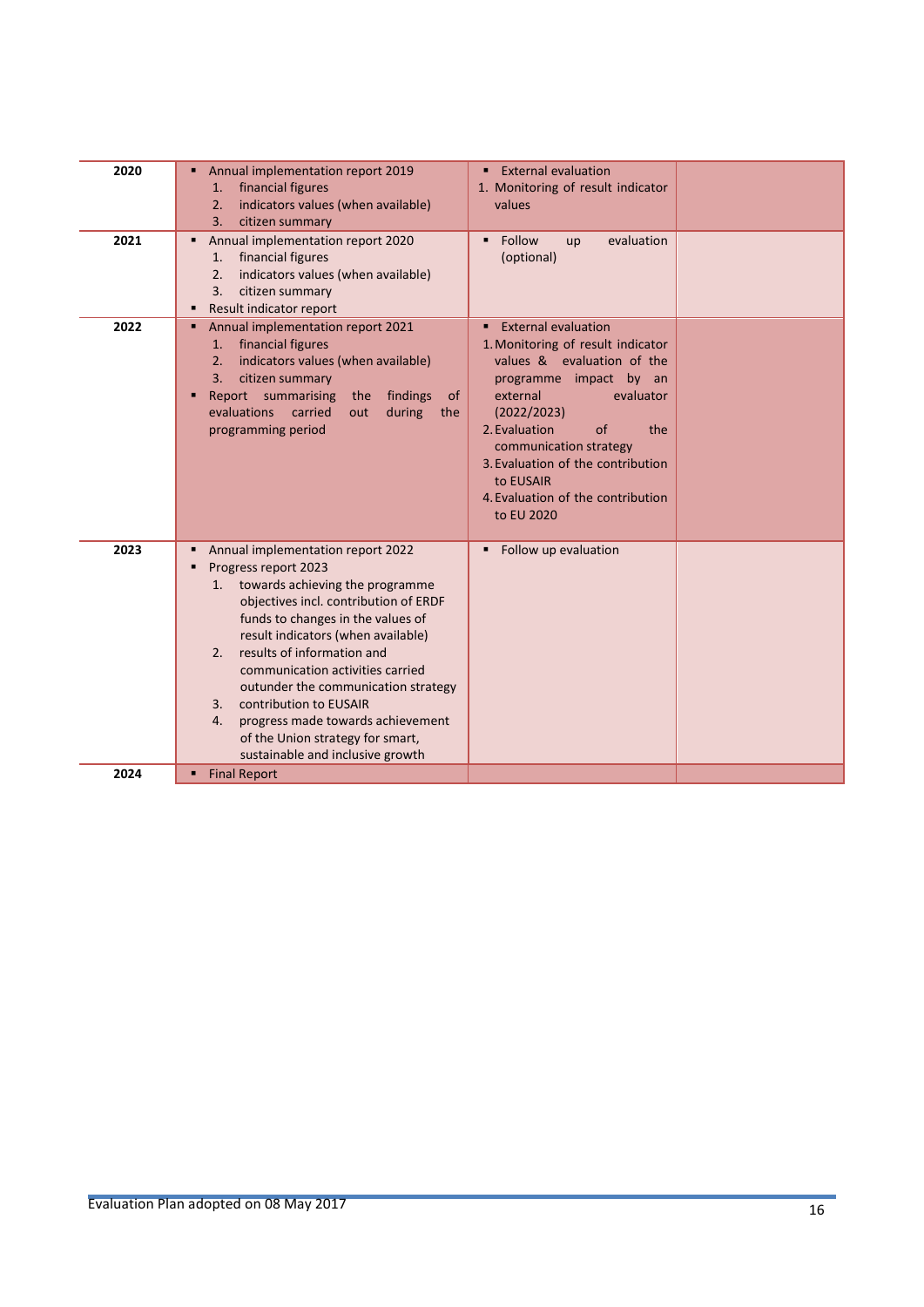| 2020 | Annual implementation report 2019<br>٠<br>financial figures<br>1.<br>indicators values (when available)<br>2.<br>3.<br>citizen summary                                                                                                                                                                                                                                                                                                                                                             | <b>External evaluation</b><br>1. Monitoring of result indicator<br>values                                                                                                                                                                                                                                                    |  |
|------|----------------------------------------------------------------------------------------------------------------------------------------------------------------------------------------------------------------------------------------------------------------------------------------------------------------------------------------------------------------------------------------------------------------------------------------------------------------------------------------------------|------------------------------------------------------------------------------------------------------------------------------------------------------------------------------------------------------------------------------------------------------------------------------------------------------------------------------|--|
| 2021 | Annual implementation report 2020<br>٠<br>financial figures<br>1.<br>2.<br>indicators values (when available)<br>3.<br>citizen summary<br>Result indicator report<br>٠                                                                                                                                                                                                                                                                                                                             | Follow<br>evaluation<br>up<br>(optional)                                                                                                                                                                                                                                                                                     |  |
| 2022 | Annual implementation report 2021<br>٠<br>financial figures<br>1.<br>indicators values (when available)<br>2.<br>citizen summary<br>3.<br>Report summarising<br>findings<br>the<br><sub>of</sub><br>п<br>evaluations<br>carried<br>during<br>out<br>the<br>programming period                                                                                                                                                                                                                      | <b>External evaluation</b><br>1. Monitoring of result indicator<br>values & evaluation of the<br>programme impact by an<br>external<br>evaluator<br>(2022/2023)<br>2. Evaluation<br>of<br>the<br>communication strategy<br>3. Evaluation of the contribution<br>to EUSAIR<br>4. Evaluation of the contribution<br>to EU 2020 |  |
| 2023 | Annual implementation report 2022<br>٠<br>Progress report 2023<br>п<br>towards achieving the programme<br>1.<br>objectives incl. contribution of ERDF<br>funds to changes in the values of<br>result indicators (when available)<br>results of information and<br>2.<br>communication activities carried<br>outunder the communication strategy<br>contribution to EUSAIR<br>3.<br>progress made towards achievement<br>4.<br>of the Union strategy for smart,<br>sustainable and inclusive growth | Follow up evaluation                                                                                                                                                                                                                                                                                                         |  |
| 2024 | <b>Final Report</b><br>٠                                                                                                                                                                                                                                                                                                                                                                                                                                                                           |                                                                                                                                                                                                                                                                                                                              |  |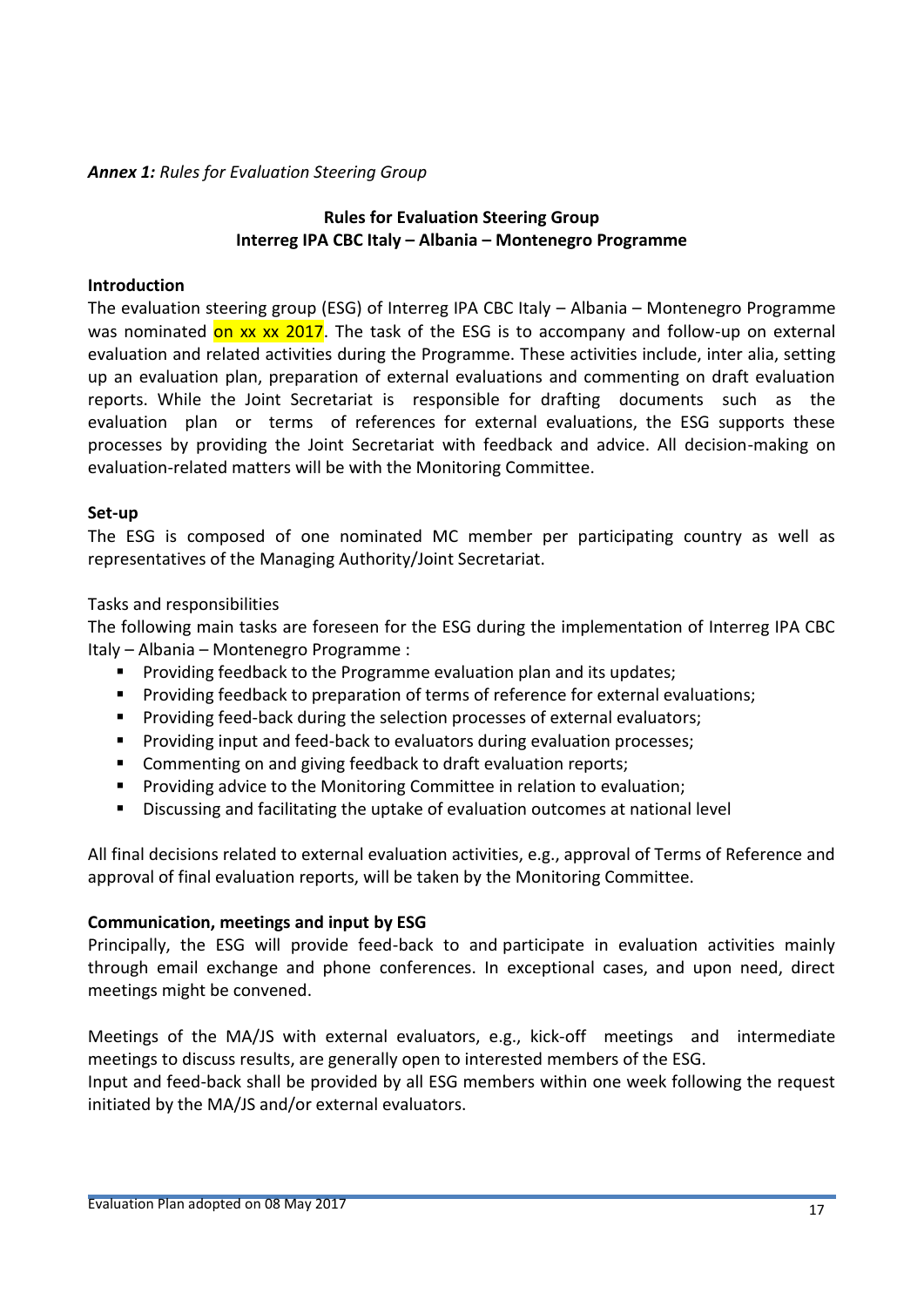#### *Annex 1: Rules for Evaluation Steering Group*

#### **Rules for Evaluation Steering Group Interreg IPA CBC Italy – Albania – Montenegro Programme**

#### **Introduction**

The evaluation steering group (ESG) of Interreg IPA CBC Italy – Albania – Montenegro Programme was nominated on xx xx 2017. The task of the ESG is to accompany and follow-up on external evaluation and related activities during the Programme. These activities include, inter alia, setting up an evaluation plan, preparation of external evaluations and commenting on draft evaluation reports. While the Joint Secretariat is responsible for drafting documents such as the evaluation plan or terms of references for external evaluations, the ESG supports these processes by providing the Joint Secretariat with feedback and advice. All decision-making on evaluation-related matters will be with the Monitoring Committee.

#### **Set-up**

The ESG is composed of one nominated MC member per participating country as well as representatives of the Managing Authority/Joint Secretariat.

#### Tasks and responsibilities

The following main tasks are foreseen for the ESG during the implementation of Interreg IPA CBC Italy – Albania – Montenegro Programme :

- **Providing feedback to the Programme evaluation plan and its updates;**
- **Providing feedback to preparation of terms of reference for external evaluations;**
- **Providing feed-back during the selection processes of external evaluators;**
- **Providing input and feed-back to evaluators during evaluation processes;**
- **EXECOMMENT** Commenting on and giving feedback to draft evaluation reports;
- **Providing advice to the Monitoring Committee in relation to evaluation;**
- Discussing and facilitating the uptake of evaluation outcomes at national level

All final decisions related to external evaluation activities, e.g., approval of Terms of Reference and approval of final evaluation reports, will be taken by the Monitoring Committee.

#### **Communication, meetings and input by ESG**

Principally, the ESG will provide feed-back to and participate in evaluation activities mainly through email exchange and phone conferences. In exceptional cases, and upon need, direct meetings might be convened.

Meetings of the MA/JS with external evaluators, e.g., kick-off meetings and intermediate meetings to discuss results, are generally open to interested members of the ESG.

Input and feed-back shall be provided by all ESG members within one week following the request initiated by the MA/JS and/or external evaluators.